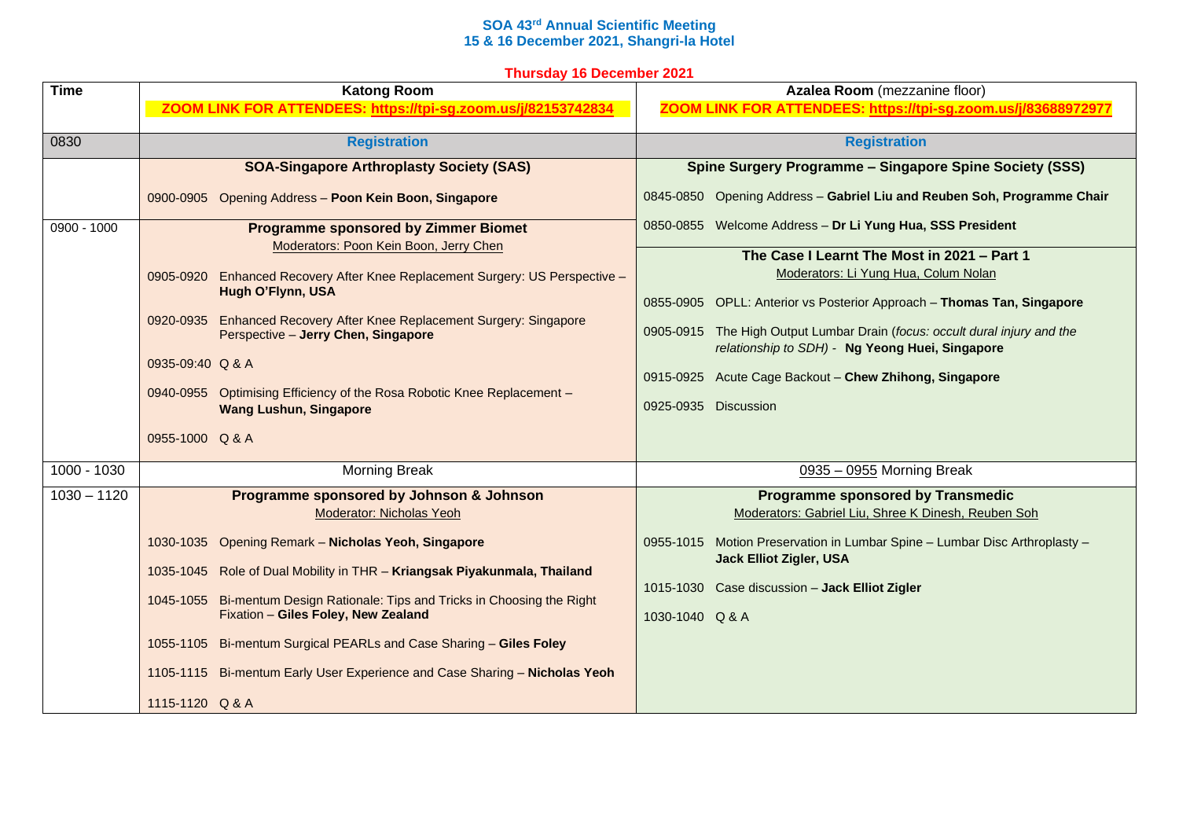## **SOA 43rd Annual Scientific Meeting 15 & 16 December 2021, Shangri-la Hotel**

|  |  | <b>Thursday 16 December 2021</b> |  |
|--|--|----------------------------------|--|
|--|--|----------------------------------|--|

| <b>Time</b>   | <b>Katong Room</b>                                                                                                                                                                                                                                                                                                                                                                                                                                           | Azalea Room (mezzanine floor)<br>ZOOM LINK FOR ATTENDEES: https://tpi-sg.zoom.us/j/83688972977                                                                                                                                                                                                                                                                                                                                                |             |                      |                           |
|---------------|--------------------------------------------------------------------------------------------------------------------------------------------------------------------------------------------------------------------------------------------------------------------------------------------------------------------------------------------------------------------------------------------------------------------------------------------------------------|-----------------------------------------------------------------------------------------------------------------------------------------------------------------------------------------------------------------------------------------------------------------------------------------------------------------------------------------------------------------------------------------------------------------------------------------------|-------------|----------------------|---------------------------|
|               | ZOOM LINK FOR ATTENDEES: https://tpi-sg.zoom.us/j/82153742834                                                                                                                                                                                                                                                                                                                                                                                                |                                                                                                                                                                                                                                                                                                                                                                                                                                               |             |                      |                           |
| 0830          | <b>Registration</b>                                                                                                                                                                                                                                                                                                                                                                                                                                          | <b>Registration</b>                                                                                                                                                                                                                                                                                                                                                                                                                           |             |                      |                           |
|               | <b>SOA-Singapore Arthroplasty Society (SAS)</b>                                                                                                                                                                                                                                                                                                                                                                                                              | Spine Surgery Programme - Singapore Spine Society (SSS)                                                                                                                                                                                                                                                                                                                                                                                       |             |                      |                           |
|               | 0900-0905 Opening Address - Poon Kein Boon, Singapore                                                                                                                                                                                                                                                                                                                                                                                                        | 0845-0850 Opening Address - Gabriel Liu and Reuben Soh, Programme Chair                                                                                                                                                                                                                                                                                                                                                                       |             |                      |                           |
| $0900 - 1000$ | <b>Programme sponsored by Zimmer Biomet</b><br>Moderators: Poon Kein Boon, Jerry Chen<br>0905-0920 Enhanced Recovery After Knee Replacement Surgery: US Perspective -<br>Hugh O'Flynn, USA<br>0920-0935 Enhanced Recovery After Knee Replacement Surgery: Singapore<br>Perspective - Jerry Chen, Singapore<br>0935-09:40 Q & A<br>0940-0955 Optimising Efficiency of the Rosa Robotic Knee Replacement -<br><b>Wang Lushun, Singapore</b><br>0955-1000 Q & A | 0850-0855 Welcome Address - Dr Li Yung Hua, SSS President<br>The Case I Learnt The Most in 2021 - Part 1<br>Moderators: Li Yung Hua, Colum Nolan<br>0855-0905 OPLL: Anterior vs Posterior Approach - Thomas Tan, Singapore<br>0905-0915 The High Output Lumbar Drain (focus: occult dural injury and the<br>relationship to SDH) - Ng Yeong Huei, Singapore<br>0915-0925 Acute Cage Backout - Chew Zhihong, Singapore<br>0925-0935 Discussion |             |                      |                           |
|               |                                                                                                                                                                                                                                                                                                                                                                                                                                                              |                                                                                                                                                                                                                                                                                                                                                                                                                                               | 1000 - 1030 | <b>Morning Break</b> | 0935 - 0955 Morning Break |
| $1030 - 1120$ | Programme sponsored by Johnson & Johnson<br>Moderator: Nicholas Yeoh                                                                                                                                                                                                                                                                                                                                                                                         | <b>Programme sponsored by Transmedic</b><br>Moderators: Gabriel Liu, Shree K Dinesh, Reuben Soh                                                                                                                                                                                                                                                                                                                                               |             |                      |                           |
|               | 1030-1035 Opening Remark - Nicholas Yeoh, Singapore<br>1035-1045 Role of Dual Mobility in THR - Kriangsak Piyakunmala, Thailand<br>1045-1055 Bi-mentum Design Rationale: Tips and Tricks in Choosing the Right<br>Fixation - Giles Foley, New Zealand<br>1055-1105 Bi-mentum Surgical PEARLs and Case Sharing - Giles Foley                                                                                                                                  | 0955-1015 Motion Preservation in Lumbar Spine - Lumbar Disc Arthroplasty -<br><b>Jack Elliot Zigler, USA</b><br>1015-1030 Case discussion - Jack Elliot Zigler<br>1030-1040 Q & A                                                                                                                                                                                                                                                             |             |                      |                           |
|               | 1105-1115 Bi-mentum Early User Experience and Case Sharing - Nicholas Yeoh<br>1115-1120 Q & A                                                                                                                                                                                                                                                                                                                                                                |                                                                                                                                                                                                                                                                                                                                                                                                                                               |             |                      |                           |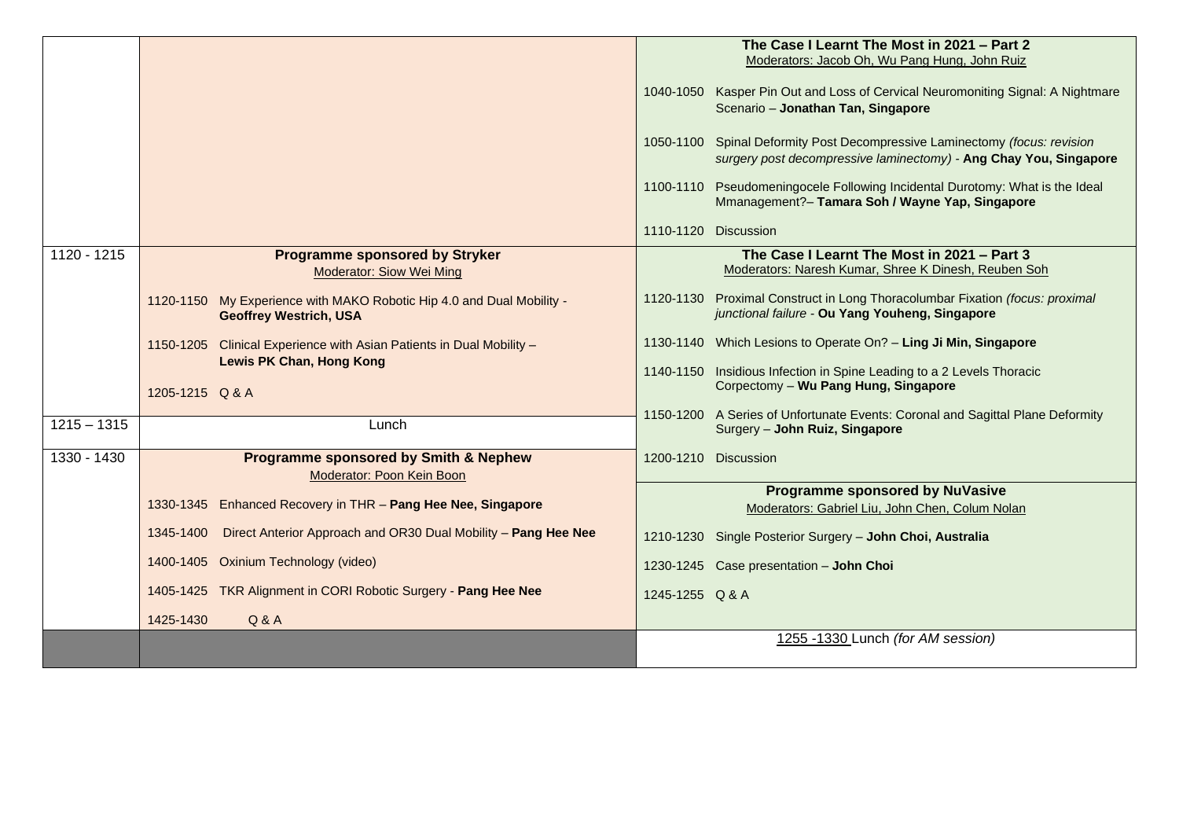|               |                                                                                                         | The Case I Learnt The Most in 2021 - Part 2<br>Moderators: Jacob Oh, Wu Pang Hung, John Ruiz<br>1040-1050 Kasper Pin Out and Loss of Cervical Neuromoniting Signal: A Nightmare<br>Scenario - Jonathan Tan, Singapore<br>1050-1100 Spinal Deformity Post Decompressive Laminectomy (focus: revision<br>surgery post decompressive laminectomy) - Ang Chay You, Singapore<br>1100-1110 Pseudomeningocele Following Incidental Durotomy: What is the Ideal<br>Mmanagement?- Tamara Soh / Wayne Yap, Singapore<br>1110-1120 Discussion |
|---------------|---------------------------------------------------------------------------------------------------------|-------------------------------------------------------------------------------------------------------------------------------------------------------------------------------------------------------------------------------------------------------------------------------------------------------------------------------------------------------------------------------------------------------------------------------------------------------------------------------------------------------------------------------------|
|               |                                                                                                         |                                                                                                                                                                                                                                                                                                                                                                                                                                                                                                                                     |
| 1120 - 1215   | <b>Programme sponsored by Stryker</b><br><b>Moderator: Siow Wei Ming</b>                                | The Case I Learnt The Most in 2021 - Part 3<br>Moderators: Naresh Kumar, Shree K Dinesh, Reuben Soh                                                                                                                                                                                                                                                                                                                                                                                                                                 |
|               | 1120-1150 My Experience with MAKO Robotic Hip 4.0 and Dual Mobility -<br><b>Geoffrey Westrich, USA</b>  | 1120-1130 Proximal Construct in Long Thoracolumbar Fixation (focus: proximal<br>junctional failure - Ou Yang Youheng, Singapore                                                                                                                                                                                                                                                                                                                                                                                                     |
|               | 1150-1205 Clinical Experience with Asian Patients in Dual Mobility -<br><b>Lewis PK Chan, Hong Kong</b> | 1130-1140 Which Lesions to Operate On? - Ling Ji Min, Singapore                                                                                                                                                                                                                                                                                                                                                                                                                                                                     |
|               | 1205-1215 Q & A                                                                                         | 1140-1150 Insidious Infection in Spine Leading to a 2 Levels Thoracic<br>Corpectomy - Wu Pang Hung, Singapore                                                                                                                                                                                                                                                                                                                                                                                                                       |
| $1215 - 1315$ | Lunch                                                                                                   | 1150-1200 A Series of Unfortunate Events: Coronal and Sagittal Plane Deformity<br>Surgery - John Ruiz, Singapore                                                                                                                                                                                                                                                                                                                                                                                                                    |
| 1330 - 1430   | <b>Programme sponsored by Smith &amp; Nephew</b><br>Moderator: Poon Kein Boon                           | 1200-1210 Discussion                                                                                                                                                                                                                                                                                                                                                                                                                                                                                                                |
|               | 1330-1345 Enhanced Recovery in THR - Pang Hee Nee, Singapore                                            | <b>Programme sponsored by NuVasive</b><br>Moderators: Gabriel Liu, John Chen, Colum Nolan                                                                                                                                                                                                                                                                                                                                                                                                                                           |
|               | Direct Anterior Approach and OR30 Dual Mobility - Pang Hee Nee<br>1345-1400                             | 1210-1230 Single Posterior Surgery - John Choi, Australia                                                                                                                                                                                                                                                                                                                                                                                                                                                                           |
|               | 1400-1405 Oxinium Technology (video)                                                                    | 1230-1245 Case presentation - John Choi                                                                                                                                                                                                                                                                                                                                                                                                                                                                                             |
|               | 1405-1425 TKR Alignment in CORI Robotic Surgery - Pang Hee Nee                                          | 1245-1255 Q & A                                                                                                                                                                                                                                                                                                                                                                                                                                                                                                                     |
|               | Q & A<br>1425-1430                                                                                      |                                                                                                                                                                                                                                                                                                                                                                                                                                                                                                                                     |
|               |                                                                                                         | 1255 -1330 Lunch (for AM session)                                                                                                                                                                                                                                                                                                                                                                                                                                                                                                   |